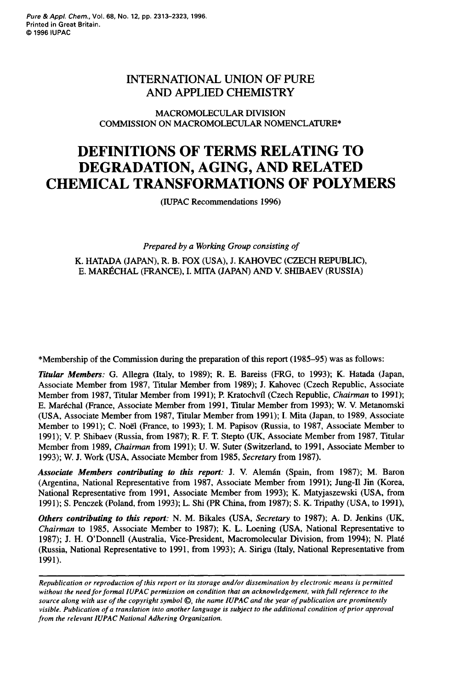*Pure &App/. Chem.,* Vol. *68,* No. **12, pp. 2313-2323, 1996. Printed in Great Britain.**  *0* **1996 IUPAC** 

## INTERNATIONAL UNION OF PURE AND APPLIED CHEMISTRY

#### MACROMOLECULAR DIVISION COMMISSION ON MACROMOLECULAR NOMENCLATURE\*

# **DEFINITIONS OF TERMS RELATING TO DEGRADATION, AGING, AND RELATED CHEMICAL TRANSFORMATIONS OF POLYMERS**

(IUPAC Recommendations **1996)** 

#### *Prepared by a Working Group consisting of*

K. HATADA (JAPAN), R. B. FOX (USA), J. KAHOVEC (CZECH REPUBLIC), E. MARIkHAL (FRANCE), 1. MITA (JAPAN) *AND* V. **SHIBAEV** (RUSSIA)

"Membership of the Commission during the preparation of this report **(1985-95)** was as follows:

*Titular Members: G.* Allegra (Italy, to **1989);** R. E. Bareiss **(FRG,** to **1993);** K. Hatada (Japan, Associate Member from **1987,** Titular Member from **1989);** J. Kahovec (Czech Republic, Associate Member from **1987,** Titular Member from **1991);** P. Kratochvil (Czech Republic, *Chairman* to **1991);**  E. Mar6chal (France, Associate Member from **1991,** Titular Member from **1993);** W. V. Metanomski (USA, Associate Member from **1987,** Titular Member from **1991);** I. Mita (Japan, to **1989,** Associate Member to **1991);** C. Noel (France, to **1993);** I. M. Papisov (Russia, to **1987,** Associate Member to **1991);** V. P. Shibaev (Russia, from **1987);** R. F. T. Stepto (UK, Associate Member from **1987,** Titular Member from **1989,** *Chainnan* from **1991);** U. W. Suter (Switzerland, **to 1991,** Associate Member to **1993);** W. J. Work (USA, Associate Member from **1985,** *Secretary* from **1987).** 

Associate Members contributing to this report: J. V. Alemán (Spain, from 1987); M. Baron (Argentina, National Representative from **1987,** Associate Member from **1991);** Jung-I1 Jin (Korea, National Representative from **1991,** Associate Member from **1993);** K. Matyjaszewski (USA, from **1991);** S. Penczek (Poland, from **1993);** L. Shi (PR China, from **1987);** S. K. Tripathy (USA, to **1991),** 

*Others contributing to this report:* N. M. Bikales (USA, *Secretary* to **1987);** A. D. Jenkins (UK, *Chairman* to **1985,** Associate Member to **1987);** K. **L.** Loening (USA, National Representative to **1987);** J. H. O'Donnell (Australia, Vice-President, Macromolecular Division, from **1994);** N. Plat6 (Russia, National Representative to **1991,** from **1993);** A. Sirigu (Italy, National Representative from **1991).** 

*Republication or reproduction of this report or its storage and/or dissemination by electronic means is permitted without the need for formal IUPAC permission on condition that an acknowledgement, with full reference to the source along with use of the copyright symbol 0, the name IUPAC and the year of publication are prominently visible. Publication of a translation into another language is subject to the additional condition of prior approval from rhe relevant IUPAC National Adhering Organization.*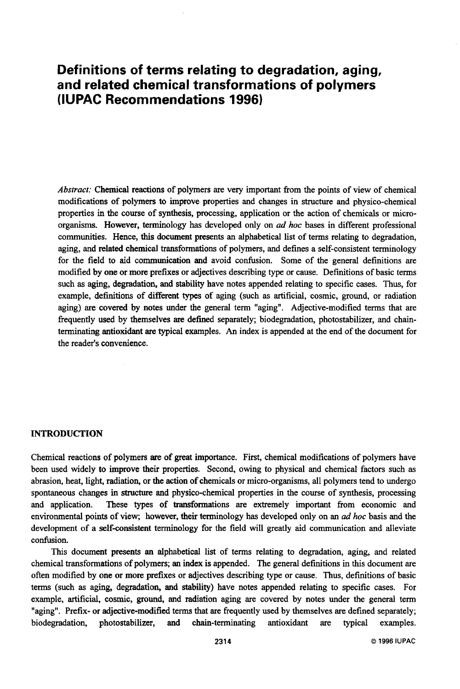# **Definitions of terms relating to degradation, aging, and related chemical transformations of polymers (IUPAC Recommendations 1996)**

*Abstract:* Chemical reactions of polymers are very important from the points of view of chemical modifications of polymers to improve properties and changes in structure and physico-chemical properties in the course of synthesis, processing, application or the action of chemicals or microorganisms. However, terminology has developed only on *ad hoc* bases in different professional communities. Hence, **this** document presents an alphabetical list of terms relating to degradation, aging, and related chemical transformations of polymers, and defines a self-consistent terminology for the field to aid communication and avoid confusion. Some of the general definitions are modified by one or more prefixes or adjectives describing type or cause. Definitions of basic terms such **as** aging, degradation, and stability have notes appended relating to specific cases. **Thus,** for example, definitions of different **types** of aging (such **as** artificial, cosmic, ground, or radiation aging) are covered by notes under the general term "aging". Adjective-modified terms that are frequently used by themselves **are** defined separately; biodegradation, photostabilizer, and chainterminating antioxidant **are** typical examples. *An* index is appended at the end of the document for the reader's convenience.

#### **INTRODUCTION**

Chemical reactions of polymers **are** of great importance. First, chemical modifications of polymers have been used widely to improve their properties. Second, owing to physical and chemical factors such **as**  abrasion, heat, light, radiation, or the action of chemicals or micro-organisms, all polymers tend to undergo spontaneous changes in structure and physico-chemical properties in the course of synthesis, processing and application. These types of transformations are extremely important from economic and environmental points of view; however, their terminology has developed only on an ad *hoc* basis and the development of a self-consistent terminology for the field will greatly aid communication and alleviate confusion.

This document presents an alphabetical list of terms relating to degradation, aging, and related chemical transformations of polymers; an index is appended. The general definitions in this document are often modified by one or more prefixes or adjectives describing type or cause. Thus, definitions of basic terms (such **as** aging, degradation, and stability) have notes appended relating to specific cases. For example, artificial, cosmic, ground, and radiation aging are covered by notes under the general term "aging". Prefix- or adjective-modified terms that are frequently used by themselves are defined separately; biodegradation, photostabilizer, and chain-terminating antioxidant are typical examples.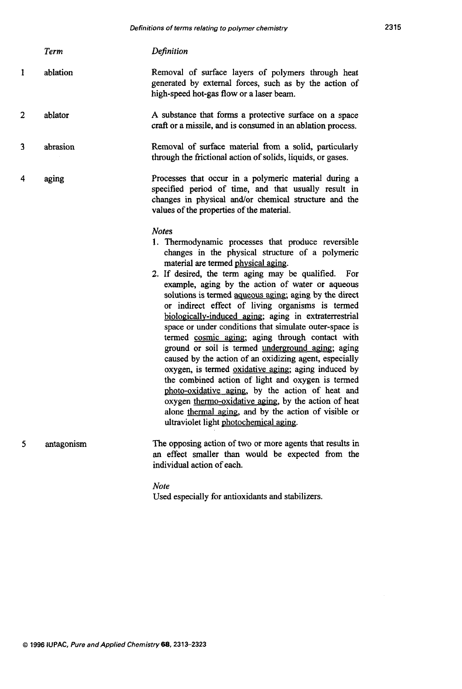|                | Term       | Definition                                                                                                                                                                                                                                                                                                                                                                                                                                                                                                                                                                                                                                                                                                                                                                                                                                                                                                                                                                                               |  |
|----------------|------------|----------------------------------------------------------------------------------------------------------------------------------------------------------------------------------------------------------------------------------------------------------------------------------------------------------------------------------------------------------------------------------------------------------------------------------------------------------------------------------------------------------------------------------------------------------------------------------------------------------------------------------------------------------------------------------------------------------------------------------------------------------------------------------------------------------------------------------------------------------------------------------------------------------------------------------------------------------------------------------------------------------|--|
| 1              | ablation   | Removal of surface layers of polymers through heat<br>generated by external forces, such as by the action of<br>high-speed hot-gas flow or a laser beam.                                                                                                                                                                                                                                                                                                                                                                                                                                                                                                                                                                                                                                                                                                                                                                                                                                                 |  |
| $\overline{c}$ | ablator    | A substance that forms a protective surface on a space<br>craft or a missile, and is consumed in an ablation process.                                                                                                                                                                                                                                                                                                                                                                                                                                                                                                                                                                                                                                                                                                                                                                                                                                                                                    |  |
| 3              | abrasion   | Removal of surface material from a solid, particularly<br>through the frictional action of solids, liquids, or gases.                                                                                                                                                                                                                                                                                                                                                                                                                                                                                                                                                                                                                                                                                                                                                                                                                                                                                    |  |
| 4              | aging      | Processes that occur in a polymeric material during a<br>specified period of time, and that usually result in<br>changes in physical and/or chemical structure and the<br>values of the properties of the material.                                                                                                                                                                                                                                                                                                                                                                                                                                                                                                                                                                                                                                                                                                                                                                                      |  |
|                |            | <b>Notes</b><br>1. Thermodynamic processes that produce reversible<br>changes in the physical structure of a polymeric<br>material are termed physical aging.<br>2. If desired, the term aging may be qualified.<br>For<br>example, aging by the action of water or aqueous<br>solutions is termed aqueous aging; aging by the direct<br>or indirect effect of living organisms is termed<br>biologically-induced aging; aging in extraterrestrial<br>space or under conditions that simulate outer-space is<br>termed cosmic aging; aging through contact with<br>ground or soil is termed underground aging; aging<br>caused by the action of an oxidizing agent, especially<br>oxygen, is termed oxidative aging; aging induced by<br>the combined action of light and oxygen is termed<br>photo-oxidative aging, by the action of heat and<br>oxygen thermo-oxidative aging, by the action of heat<br>alone thermal aging, and by the action of visible or<br>ultraviolet light photochemical aging. |  |
| 5              | antagonism | The opposing action of two or more agents that results in<br>an effect smaller than would be expected from the                                                                                                                                                                                                                                                                                                                                                                                                                                                                                                                                                                                                                                                                                                                                                                                                                                                                                           |  |

*Note*  Used especially for antioxidants and stabilizers.

individual action of each.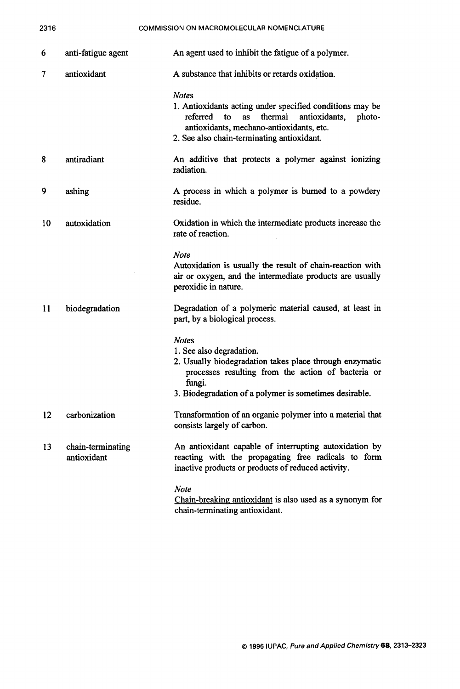| 2316 |                                  | <b>COMMISSION ON MACROMOLECULAR NOMENCLATURE</b>                                                                                                                                                                                 |
|------|----------------------------------|----------------------------------------------------------------------------------------------------------------------------------------------------------------------------------------------------------------------------------|
| 6    | anti-fatigue agent               | An agent used to inhibit the fatigue of a polymer.                                                                                                                                                                               |
| 7    | antioxidant                      | A substance that inhibits or retards oxidation.                                                                                                                                                                                  |
|      |                                  | <b>Notes</b><br>1. Antioxidants acting under specified conditions may be<br>thermal<br>referred<br>to<br>as<br>antioxidants,<br>photo-<br>antioxidants, mechano-antioxidants, etc.<br>2. See also chain-terminating antioxidant. |
| 8    | antiradiant                      | An additive that protects a polymer against ionizing<br>radiation.                                                                                                                                                               |
| 9    | ashing                           | A process in which a polymer is burned to a powdery<br>residue.                                                                                                                                                                  |
| 10   | autoxidation                     | Oxidation in which the intermediate products increase the<br>rate of reaction.                                                                                                                                                   |
|      |                                  | <b>Note</b><br>Autoxidation is usually the result of chain-reaction with<br>air or oxygen, and the intermediate products are usually<br>peroxidic in nature.                                                                     |
| 11   | biodegradation                   | Degradation of a polymeric material caused, at least in<br>part, by a biological process.                                                                                                                                        |
|      |                                  | <b>Notes</b><br>1. See also degradation.<br>2. Usually biodegradation takes place through enzymatic<br>processes resulting from the action of bacteria or<br>fungi.<br>3. Biodegradation of a polymer is sometimes desirable.    |
| 12   | carbonization                    | Transformation of an organic polymer into a material that<br>consists largely of carbon.                                                                                                                                         |
| 13   | chain-terminating<br>antioxidant | An antioxidant capable of interrupting autoxidation by<br>reacting with the propagating free radicals to form<br>inactive products or products of reduced activity.                                                              |
|      |                                  | <b>Note</b><br>Chain-breaking antioxidant is also used as a synonym for<br>chain-terminating antioxidant.                                                                                                                        |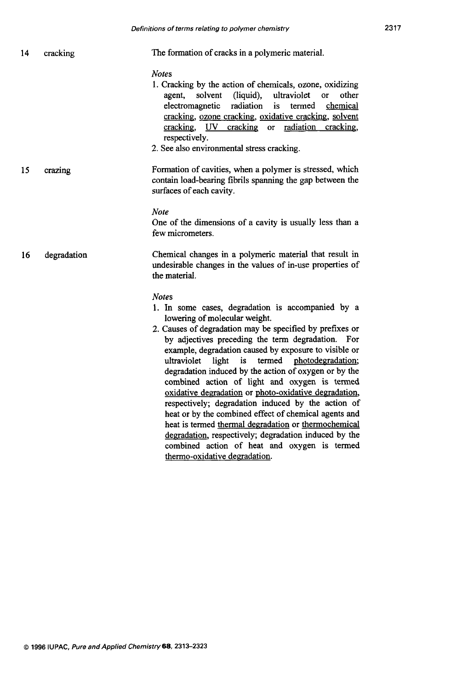| 14 | cracking    | The formation of cracks in a polymeric material.                                                                                                                                                                                                                                                                                                                                                                                                                                                                                                                                                                                                                                                                                                                                                                              |  |  |  |
|----|-------------|-------------------------------------------------------------------------------------------------------------------------------------------------------------------------------------------------------------------------------------------------------------------------------------------------------------------------------------------------------------------------------------------------------------------------------------------------------------------------------------------------------------------------------------------------------------------------------------------------------------------------------------------------------------------------------------------------------------------------------------------------------------------------------------------------------------------------------|--|--|--|
|    |             | <b>Notes</b><br>1. Cracking by the action of chemicals, ozone, oxidizing<br>(liquid),<br>solvent<br>ultraviolet<br>or<br>other<br>agent,<br>radiation<br>chemical<br>electromagnetic<br>is<br>termed<br>cracking, ozone cracking, oxidative cracking, solvent<br>radiation cracking,<br>cracking, UV cracking or<br>respectively.<br>2. See also environmental stress cracking.                                                                                                                                                                                                                                                                                                                                                                                                                                               |  |  |  |
| 15 | crazing     | Formation of cavities, when a polymer is stressed, which<br>contain load-bearing fibrils spanning the gap between the<br>surfaces of each cavity.                                                                                                                                                                                                                                                                                                                                                                                                                                                                                                                                                                                                                                                                             |  |  |  |
|    |             | <b>Note</b><br>One of the dimensions of a cavity is usually less than a<br>few micrometers.                                                                                                                                                                                                                                                                                                                                                                                                                                                                                                                                                                                                                                                                                                                                   |  |  |  |
| 16 | degradation | Chemical changes in a polymeric material that result in<br>undesirable changes in the values of in-use properties of<br>the material.                                                                                                                                                                                                                                                                                                                                                                                                                                                                                                                                                                                                                                                                                         |  |  |  |
|    |             | <b>Notes</b><br>1. In some cases, degradation is accompanied by a<br>lowering of molecular weight.<br>2. Causes of degradation may be specified by prefixes or<br>by adjectives preceding the term degradation. For<br>example, degradation caused by exposure to visible or<br>light<br>is<br>ultraviolet<br>termed<br>photodegradation;<br>degradation induced by the action of oxygen or by the<br>combined action of light and oxygen is termed<br>oxidative degradation or photo-oxidative degradation,<br>respectively; degradation induced by the action of<br>heat or by the combined effect of chemical agents and<br>heat is termed thermal degradation or thermochemical<br>degradation, respectively; degradation induced by the<br>combined action of heat and oxygen is termed<br>thermo-oxidative degradation. |  |  |  |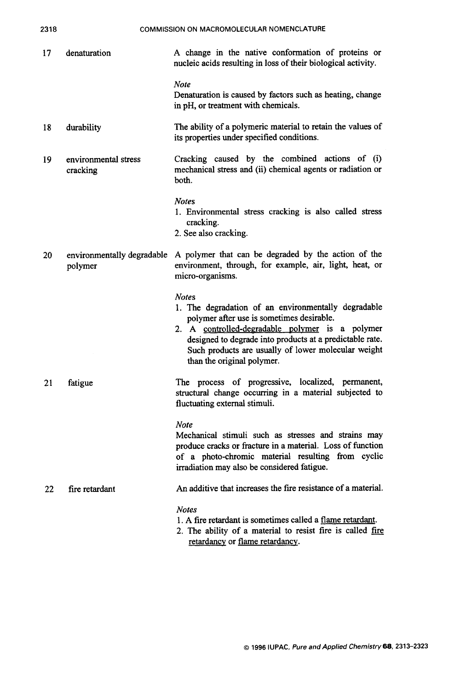| 2318 | COMMISSION ON MACROMOLECULAR NOMENCLATURE |                                                                                                                                                                                                                                                                                                                      |  |  |
|------|-------------------------------------------|----------------------------------------------------------------------------------------------------------------------------------------------------------------------------------------------------------------------------------------------------------------------------------------------------------------------|--|--|
| 17   | denaturation                              | A change in the native conformation of proteins or<br>nucleic acids resulting in loss of their biological activity.                                                                                                                                                                                                  |  |  |
|      |                                           | Note<br>Denaturation is caused by factors such as heating, change<br>in pH, or treatment with chemicals.                                                                                                                                                                                                             |  |  |
| 18   | durability                                | The ability of a polymeric material to retain the values of<br>its properties under specified conditions.                                                                                                                                                                                                            |  |  |
| 19   | environmental stress<br>cracking          | Cracking caused by the combined actions of (i)<br>mechanical stress and (ii) chemical agents or radiation or<br>both.                                                                                                                                                                                                |  |  |
|      |                                           | <b>Notes</b><br>1. Environmental stress cracking is also called stress<br>cracking.<br>2. See also cracking.                                                                                                                                                                                                         |  |  |
| 20   | environmentally degradable<br>polymer     | A polymer that can be degraded by the action of the<br>environment, through, for example, air, light, heat, or<br>micro-organisms.                                                                                                                                                                                   |  |  |
|      |                                           | <b>Notes</b><br>1. The degradation of an environmentally degradable<br>polymer after use is sometimes desirable.<br>2. A controlled-degradable polymer is a polymer<br>designed to degrade into products at a predictable rate.<br>Such products are usually of lower molecular weight<br>than the original polymer. |  |  |
| 21   | fatigue                                   | The process of progressive, localized, permanent,<br>structural change occurring in a material subjected to<br>fluctuating external stimuli.                                                                                                                                                                         |  |  |
|      |                                           | Note<br>Mechanical stimuli such as stresses and strains may<br>produce cracks or fracture in a material. Loss of function<br>of a photo-chromic material resulting from cyclic<br>irradiation may also be considered fatigue.                                                                                        |  |  |
| 22   | fire retardant                            | An additive that increases the fire resistance of a material.                                                                                                                                                                                                                                                        |  |  |
|      |                                           | <b>Notes</b><br>1. A fire retardant is sometimes called a flame retardant.<br>2. The ability of a material to resist fire is called fire<br>retardancy or flame retardancy.                                                                                                                                          |  |  |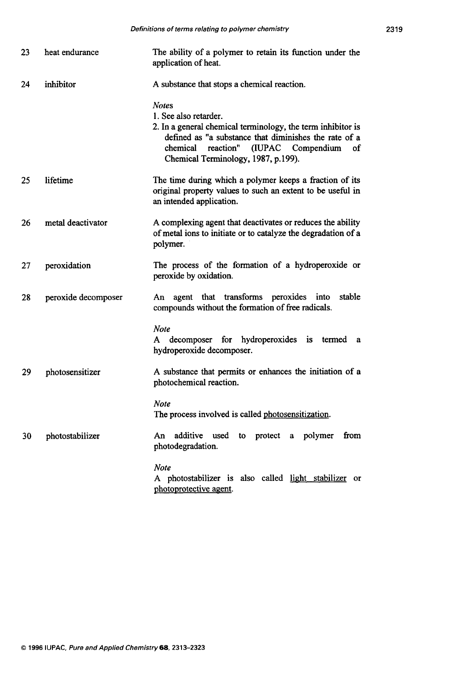| 23 | heat endurance      | The ability of a polymer to retain its function under the<br>application of heat.                                                                                                                                                                        |  |  |
|----|---------------------|----------------------------------------------------------------------------------------------------------------------------------------------------------------------------------------------------------------------------------------------------------|--|--|
| 24 | inhibitor           | A substance that stops a chemical reaction.                                                                                                                                                                                                              |  |  |
|    |                     | <b>Notes</b><br>1. See also retarder.<br>2. In a general chemical terminology, the term inhibitor is<br>defined as "a substance that diminishes the rate of a<br>reaction"<br>(IUPAC Compendium<br>chemical<br>οf<br>Chemical Terminology, 1987, p.199). |  |  |
| 25 | lifetime            | The time during which a polymer keeps a fraction of its<br>original property values to such an extent to be useful in<br>an intended application.                                                                                                        |  |  |
| 26 | metal deactivator   | A complexing agent that deactivates or reduces the ability<br>of metal ions to initiate or to catalyze the degradation of a<br>polymer.                                                                                                                  |  |  |
| 27 | peroxidation        | The process of the formation of a hydroperoxide or<br>peroxide by oxidation.                                                                                                                                                                             |  |  |
| 28 | peroxide decomposer | agent that transforms peroxides into<br>stable<br>An<br>compounds without the formation of free radicals.                                                                                                                                                |  |  |
|    |                     | <b>Note</b><br>A decomposer for hydroperoxides is termed<br>a<br>hydroperoxide decomposer.                                                                                                                                                               |  |  |
| 29 | photosensitizer     | A substance that permits or enhances the initiation of a<br>photochemical reaction.                                                                                                                                                                      |  |  |
|    |                     | <b>Note</b><br>The process involved is called photosensitization.                                                                                                                                                                                        |  |  |
| 30 | photostabilizer     | additive used<br>to<br>protect<br>polymer<br>from<br>An<br>a<br>photodegradation.                                                                                                                                                                        |  |  |
|    |                     | <b>Note</b><br>A photostabilizer is also called light stabilizer or<br>photoprotective agent.                                                                                                                                                            |  |  |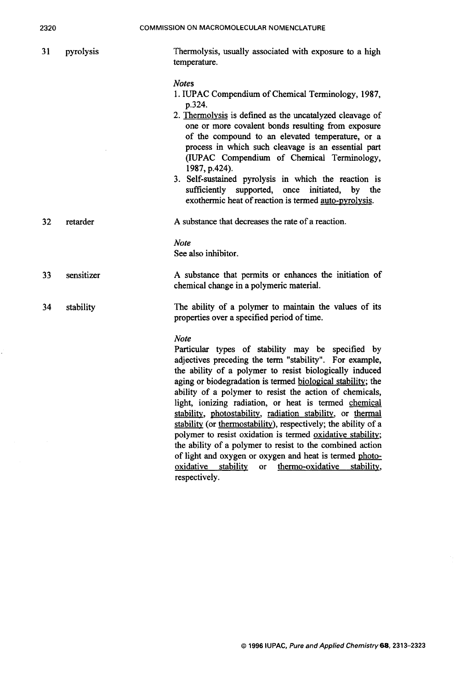| 31 | pyrolysis |
|----|-----------|
|----|-----------|

Thermolysis, usually associated with exposure to a high temperature.

#### *Notes*

- **1.** IUPAC Compendium of Chemical Terminology, **1987,**  p.324.
- **2.** Thermolvsis is defined **as** the uncatalyzed cleavage of one or more covalent bonds resulting from exposure of the compound to an elevated temperature, or a process in which such cleavage is an essential part (IUPAC Compendium of Chemical Terminology, **1987,** p.424).
- 3. Self-sustained pyrolysis in which the reaction is sufficiently supported, once initiated, by the exothermic heat of reaction is termed auto-pyrolysis.

A substance that decreases the rate of a reaction.

#### *Note*

See also inhibitor.

A substance that permits or enhances the initiation of chemical change in a polymeric material.

The ability of a polymer to maintain the values of its properties over a specified period of time.

#### Note

**Particular** types of stability may be specified by adjectives preceding the term "stability". For example, the ability of a polymer to resist biologically induced aging or biodegradation is termed bioloeical stability; the ability of a polymer to resist the action of chemicals, light, ionizing radiation, or heat is termed chemical stability, photostability, radiation stability, or thermal stability (or thermostability), respectively; the ability of a polymer to resist oxidation is termed oxidative stability; the ability of a polymer to resist to the combined action of light and oxygen or oxygen and heat is termed photooxidative stability or thermo-oxidative stability, respectively.

**32** retarder

**33** sensitizer

34 stability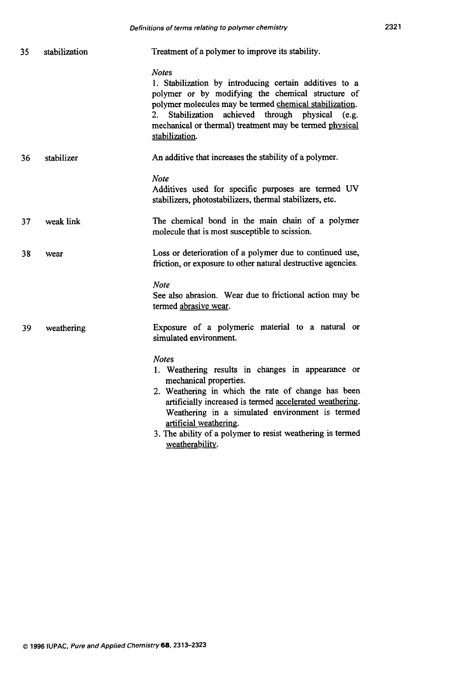| 35 | stabilization | Treatment of a polymer to improve its stability.                                                                                                                                                                                                                                                                                                                            |  |  |
|----|---------------|-----------------------------------------------------------------------------------------------------------------------------------------------------------------------------------------------------------------------------------------------------------------------------------------------------------------------------------------------------------------------------|--|--|
|    |               | <b>Notes</b><br>1. Stabilization by introducing certain additives to a<br>polymer or by modifying the chemical structure of<br>polymer molecules may be termed chemical stabilization.<br>Stabilization achieved through physical (e.g.<br>2.<br>mechanical or thermal) treatment may be termed physical<br>stabilization.                                                  |  |  |
| 36 | stabilizer    | An additive that increases the stability of a polymer.                                                                                                                                                                                                                                                                                                                      |  |  |
|    |               | <b>Note</b><br>Additives used for specific purposes are termed UV<br>stabilizers, photostabilizers, thermal stabilizers, etc.                                                                                                                                                                                                                                               |  |  |
| 37 | weak link     | The chemical bond in the main chain of a polymer<br>molecule that is most susceptible to scission.                                                                                                                                                                                                                                                                          |  |  |
| 38 | wear          | Loss or deterioration of a polymer due to continued use,<br>friction, or exposure to other natural destructive agencies.                                                                                                                                                                                                                                                    |  |  |
|    |               | <b>Note</b><br>See also abrasion. Wear due to frictional action may be<br>termed abrasive wear.                                                                                                                                                                                                                                                                             |  |  |
| 39 | weathering    | Exposure of a polymeric material to a natural or<br>simulated environment.                                                                                                                                                                                                                                                                                                  |  |  |
|    |               | <b>Notes</b><br>1. Weathering results in changes in appearance or<br>mechanical properties.<br>2. Weathering in which the rate of change has been<br>artificially increased is termed accelerated weathering.<br>Weathering in a simulated environment is termed<br>artificial weathering.<br>3. The ability of a polymer to resist weathering is termed<br>weatherability. |  |  |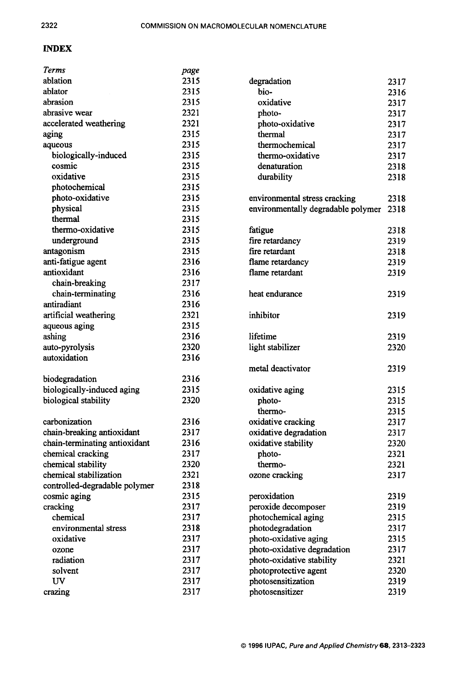## **INDEX**

| <b>Terms</b>                  | page |                                    |      |
|-------------------------------|------|------------------------------------|------|
| ablation                      | 2315 | degradation                        | 2317 |
| ablator                       | 2315 | bio-                               | 2316 |
| abrasion                      | 2315 | oxidative                          | 2317 |
| abrasive wear                 | 2321 | photo-                             | 2317 |
| accelerated weathering        | 2321 | photo-oxidative                    | 2317 |
| aging                         | 2315 | thermal                            | 2317 |
| aqueous                       | 2315 | thermochemical                     | 2317 |
| biologically-induced          | 2315 | thermo-oxidative                   | 2317 |
| cosmic                        | 2315 | denaturation                       | 2318 |
| oxidative                     | 2315 | durability                         | 2318 |
| photochemical                 | 2315 |                                    |      |
| photo-oxidative               | 2315 | environmental stress cracking      | 2318 |
| physical                      | 2315 | environmentally degradable polymer | 2318 |
| thermal                       | 2315 |                                    |      |
| thermo-oxidative              | 2315 | fatigue                            | 2318 |
| underground                   | 2315 | fire retardancy                    | 2319 |
| antagonism                    | 2315 | fire retardant                     | 2318 |
| anti-fatigue agent            | 2316 | flame retardancy                   | 2319 |
| antioxidant                   | 2316 | flame retardant                    | 2319 |
| chain-breaking                | 2317 |                                    |      |
| chain-terminating             | 2316 | heat endurance                     | 2319 |
| antiradiant                   | 2316 |                                    |      |
| artificial weathering         | 2321 | inhibitor                          | 2319 |
| aqueous aging                 | 2315 |                                    |      |
| ashing                        | 2316 | lifetime                           | 2319 |
| auto-pyrolysis                | 2320 | light stabilizer                   | 2320 |
| autoxidation                  | 2316 |                                    |      |
|                               |      | metal deactivator                  | 2319 |
| biodegradation                | 2316 |                                    |      |
| biologically-induced aging    | 2315 | oxidative aging                    | 2315 |
| biological stability          | 2320 | photo-                             | 2315 |
|                               |      | thermo-                            | 2315 |
| carbonization                 | 2316 | oxidative cracking                 | 2317 |
| chain-breaking antioxidant    | 2317 | oxidative degradation              | 2317 |
| chain-terminating antioxidant | 2316 | oxidative stability                | 2320 |
| chemical cracking             | 2317 | photo-                             | 2321 |
| chemical stability            | 2320 | thermo-                            | 2321 |
| chemical stabilization        | 2321 | ozone cracking                     | 2317 |
| controlled-degradable polymer | 2318 |                                    |      |
| cosmic aging                  | 2315 | peroxidation                       | 2319 |
| cracking                      | 2317 | peroxide decomposer                | 2319 |
| chemical                      | 2317 | photochemical aging                | 2315 |
| environmental stress          | 2318 | photodegradation                   | 2317 |
| oxidative                     | 2317 | photo-oxidative aging              | 2315 |
| ozone                         | 2317 | photo-oxidative degradation        | 2317 |
| radiation                     | 2317 | photo-oxidative stability          | 2321 |
| solvent                       | 2317 | photoprotective agent              | 2320 |
| <b>UV</b>                     | 2317 | photosensitization                 | 2319 |
| crazing                       | 2317 | photosensitizer                    | 2319 |
|                               |      |                                    |      |